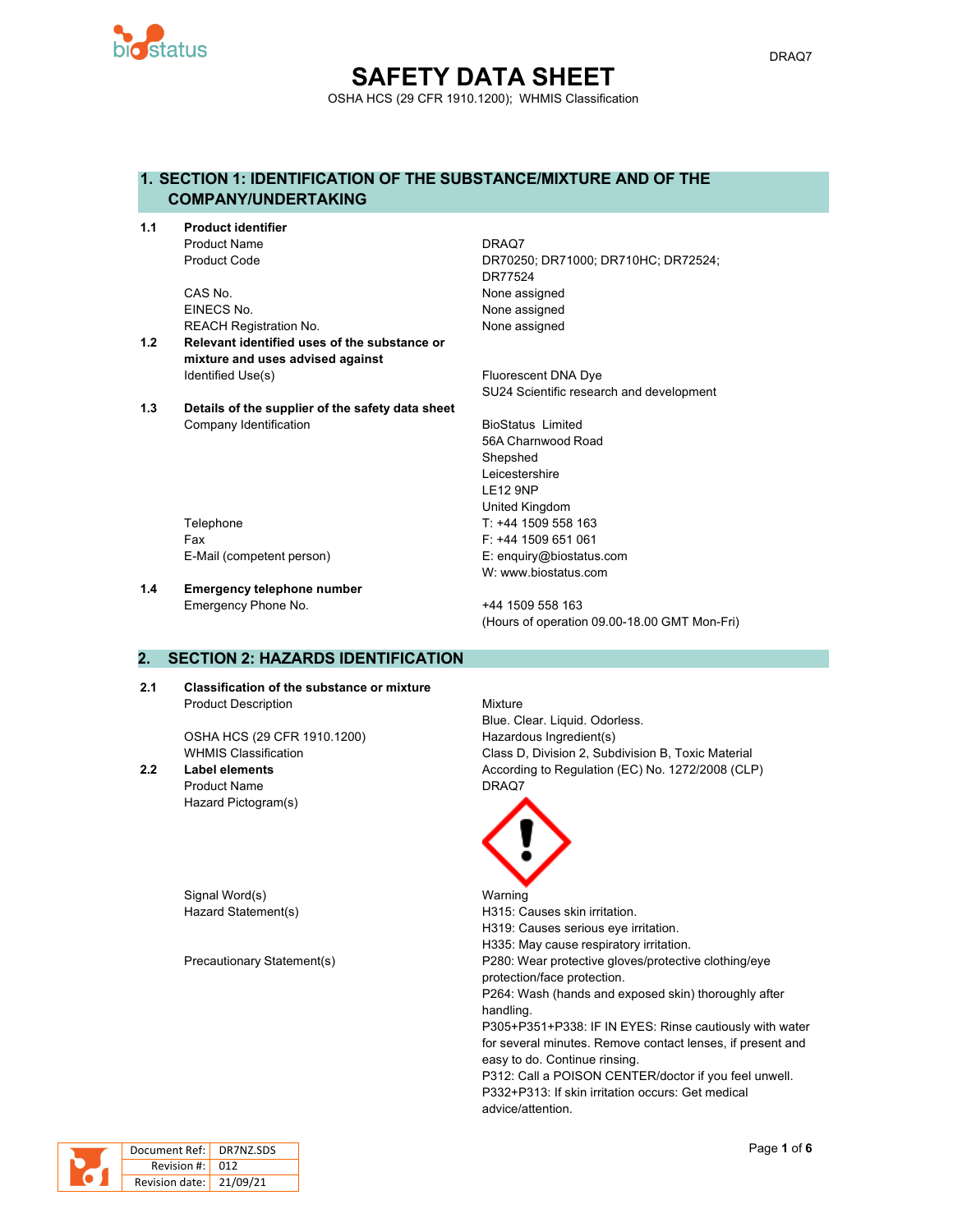

# **SAFETY DATA SHEET** OSHA HCS (29 CFR 1910.1200); WHMIS Classification

# **1. SECTION 1: IDENTIFICATION OF THE SUBSTANCE/MIXTURE AND OF THE COMPANY/UNDERTAKING**

**1.1 Product identifier** Product Name DRAQ7

> CAS No. 2008 2012 12:30 None assigned EINECS No. None assigned REACH Registration No. None assigned

- **1.2 Relevant identified uses of the substance or mixture and uses advised against** Identified Use(s) The Contract Contract Contract Contract Contract Contract Contract Contract Contract Contract Contract Contract Contract Contract Contract Contract Contract Contract Contract Contract Contract Contract Co
- **1.3 Details of the supplier of the safety data sheet** Company Identification **BioStatus Limited** BioStatus Limited

Product Code DR70250; DR71000; DR710HC; DR72524; DR77524

SU24 Scientific research and development

56A Charnwood Road **Shepshed** Leicestershire LE12 9NP United Kingdom Telephone Telephone T: +44 1509 558 163 Fax F: +44 1509 651 061 E-Mail (competent person) E: enquiry@biostatus.com W: www.biostatus.com

**1.4 Emergency telephone number**

Emergency Phone No. 444 1509 558 163 (Hours of operation 09.00-18.00 GMT Mon-Fri)

# **2. SECTION 2: HAZARDS IDENTIFICATION**

**2.1 Classification of the substance or mixture** Product Description Mixture

OSHA HCS (29 CFR 1910.1200) Hazardous Ingredient(s)

Product Name DRAQ7 Hazard Pictogram(s)

Signal Word(s) National Warning

Blue. Clear. Liquid. Odorless. WHMIS Classification Class D, Division 2, Subdivision B, Toxic Material **2.2 Label elements** According to Regulation (EC) No. 1272/2008 (CLP)



Hazard Statement(s) example a H315: Causes skin irritation. H319: Causes serious eye irritation. H335: May cause respiratory irritation. Precautionary Statement(s) P280: Wear protective gloves/protective clothing/eye protection/face protection. P264: Wash (hands and exposed skin) thoroughly after handling. P305+P351+P338: IF IN EYES: Rinse cautiously with water for several minutes. Remove contact lenses, if present and easy to do. Continue rinsing. P312: Call a POISON CENTER/doctor if you feel unwell. P332+P313: If skin irritation occurs: Get medical advice/attention.



| Document Ref:   DR7NZ.SDS |  |
|---------------------------|--|
| Revision #: 012           |  |
| Revision date: 21/09/21   |  |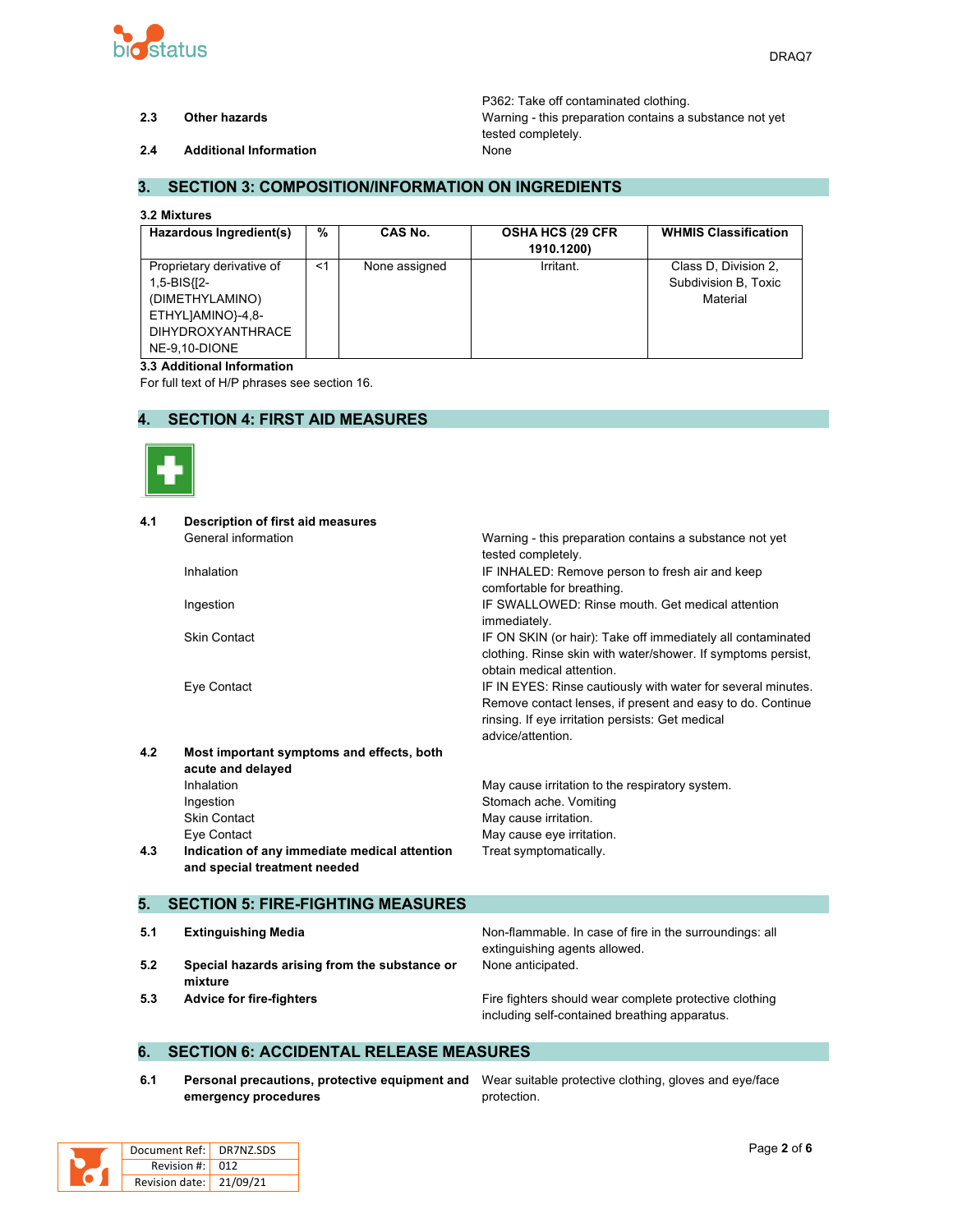

P362: Take off contaminated clothing. **2.3 Other hazards** Warning - this preparation contains a substance not yet tested completely.

**2.4 Additional Information** None

## **3. SECTION 3: COMPOSITION/INFORMATION ON INGREDIENTS**

#### **3.2 Mixtures**

| Hazardous Ingredient(s)                                                                                                       | %     | CAS No.       | <b>OSHA HCS (29 CFR)</b><br>1910.1200) | <b>WHMIS Classification</b>                              |
|-------------------------------------------------------------------------------------------------------------------------------|-------|---------------|----------------------------------------|----------------------------------------------------------|
| Proprietary derivative of<br>1,5-BIS{[2-<br>(DIMETHYLAMINO)<br>ETHYLJAMINO}-4,8-<br><b>DIHYDROXYANTHRACE</b><br>NE-9.10-DIONE | $<$ 1 | None assigned | Irritant.                              | Class D. Division 2,<br>Subdivision B, Toxic<br>Material |

#### **3.3 Additional Information**

For full text of H/P phrases see section 16.

## **4. SECTION 4: FIRST AID MEASURES**



| 4.1 | <b>Description of first aid measures</b>      |                                                              |
|-----|-----------------------------------------------|--------------------------------------------------------------|
|     | General information                           | Warning - this preparation contains a substance not yet      |
|     |                                               | tested completely.                                           |
|     | Inhalation                                    | IF INHALED: Remove person to fresh air and keep              |
|     |                                               | comfortable for breathing.                                   |
|     | Ingestion                                     | IF SWALLOWED: Rinse mouth, Get medical attention             |
|     |                                               | immediately.                                                 |
|     | <b>Skin Contact</b>                           | IF ON SKIN (or hair): Take off immediately all contaminated  |
|     |                                               | clothing. Rinse skin with water/shower. If symptoms persist, |
|     |                                               | obtain medical attention.                                    |
|     | Eye Contact                                   | IF IN EYES: Rinse cautiously with water for several minutes. |
|     |                                               | Remove contact lenses, if present and easy to do. Continue   |
|     |                                               | rinsing. If eye irritation persists: Get medical             |
|     |                                               | advice/attention                                             |
| 4.2 | Most important symptoms and effects, both     |                                                              |
|     | acute and delayed                             |                                                              |
|     | Inhalation                                    | May cause irritation to the respiratory system.              |
|     | Ingestion                                     | Stomach ache. Vomiting                                       |
|     | <b>Skin Contact</b>                           | May cause irritation.                                        |
|     | Eye Contact                                   | May cause eye irritation.                                    |
| 4.3 | Indication of any immediate medical attention | Treat symptomatically.                                       |
|     | and special treatment needed                  |                                                              |
|     |                                               |                                                              |
| 5.  | <b>SECTION 5: FIRE-FIGHTING MEASURES</b>      |                                                              |
| 5.1 |                                               |                                                              |
|     | <b>Extinguishing Media</b>                    | Non-flammable. In case of fire in the surroundings: all      |

- **5.2 Special hazards arising from the substance or mixture**
- 

extinguishing agents allowed. None anticipated.

**5.3 Advice for fire-fighters Fire fighters** Fire fighters should wear complete protective clothing including self-contained breathing apparatus.

### **6. SECTION 6: ACCIDENTAL RELEASE MEASURES**

**6.1 Personal precautions, protective equipment and** Wear suitable protective clothing, gloves and eye/face **emergency procedures**

protection.

| Document Ref: DR7NZ.SDS |  |
|-------------------------|--|
| Revision $\#$ : 012     |  |
| Revision date: 21/09/21 |  |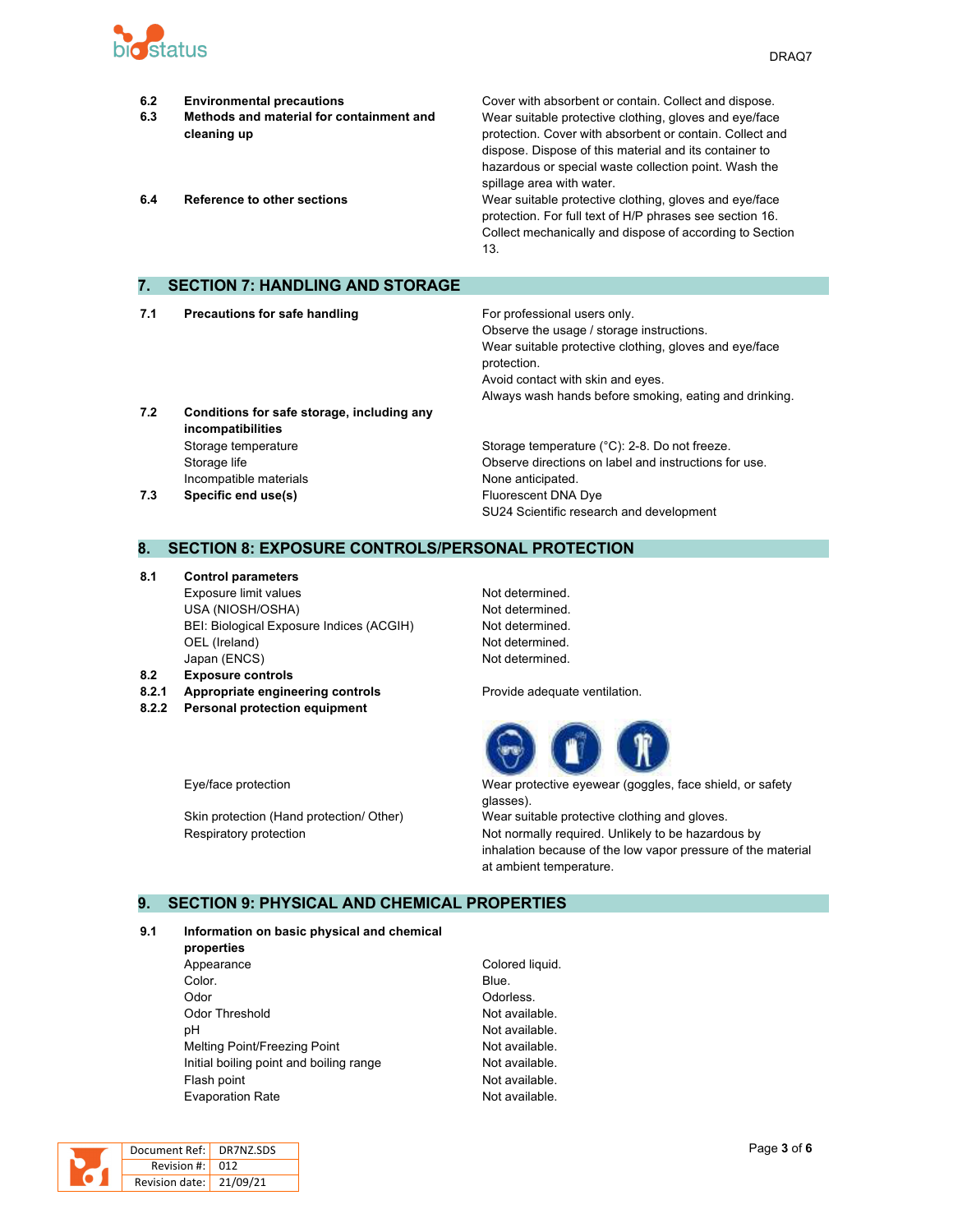

- **6.2 Environmental precautions** Cover with absorbent or contain. Collect and dispose. **6.3 Methods and material for containment and cleaning up** Wear suitable protective clothing, gloves and eye/face protection. Cover with absorbent or contain. Collect and dispose. Dispose of this material and its container to hazardous or special waste collection point. Wash the spillage area with water. **6.4 Reference to other sections** Wear suitable protective clothing, gloves and eye/face protection. For full text of H/P phrases see section 16. Collect mechanically and dispose of according to Section 13. **7. SECTION 7: HANDLING AND STORAGE 7.1 Precautions for safe handling For professional users only.** Observe the usage / storage instructions. Wear suitable protective clothing, gloves and eye/face
- **7.2 Conditions for safe storage, including any incompatibilities** Storage temperature **Storage temperature (°C): 2-8. Do not freeze.** Storage temperature (°C): 2-8. Do not freeze. Incompatible materials **None anticipated**.

# Storage life Observe directions on label and instructions for use. **7.3 Specific end use(s) Eluorescent DNA Dye** SU24 Scientific research and development

Always wash hands before smoking, eating and drinking.

Avoid contact with skin and eyes.

### **8. SECTION 8: EXPOSURE CONTROLS/PERSONAL PROTECTION**

**8.1 Control parameters** Exposure limit values Not determined. USA (NIOSH/OSHA) Not determined. BEI: Biological Exposure Indices (ACGIH) Not determined. OEL (Ireland) Not determined. Japan (ENCS) Not determined.

**8.2 Exposure controls**

- 
- **8.2.2 Personal protection equipment**

protection.

**8.2.1 Appropriate engineering controls Provide adequate ventilation.** 



Eye/face protection Wear protective eyewear (goggles, face shield, or safety glasses).

Skin protection (Hand protection/ Other) Wear suitable protective clothing and gloves. Respiratory protection **Not normally required.** Unlikely to be hazardous by inhalation because of the low vapor pressure of the material at ambient temperature.

#### **9. SECTION 9: PHYSICAL AND CHEMICAL PROPERTIES**

#### **9.1 Information on basic physical and chemical**

- **properties** Appearance Colored liquid. Color. Blue. Odor **Odor** Odorless. Odor Threshold **Not available.** Not available. pH  $\blacksquare$ Melting Point/Freezing Point Not available. Initial boiling point and boiling range Not available. Flash point **Not available.** Evaporation Rate **Not available**.
	-

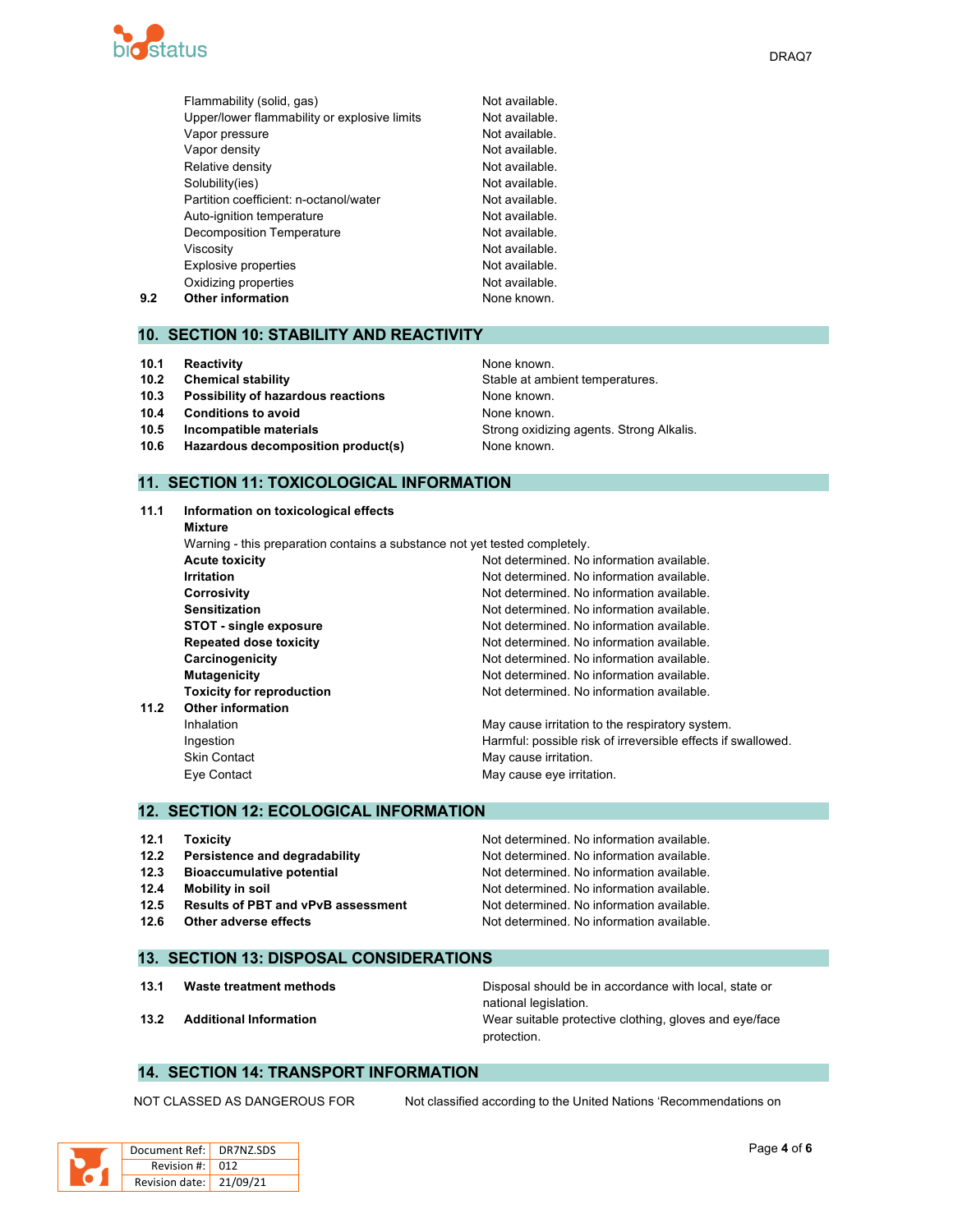

|     | Flammability (solid, gas)                    | Not available. |
|-----|----------------------------------------------|----------------|
|     | Upper/lower flammability or explosive limits | Not available. |
|     | Vapor pressure                               | Not available. |
|     | Vapor density                                | Not available. |
|     | Relative density                             | Not available. |
|     | Solubility(ies)                              | Not available. |
|     | Partition coefficient: n-octanol/water       | Not available. |
|     | Auto-ignition temperature                    | Not available. |
|     | <b>Decomposition Temperature</b>             | Not available. |
|     | Viscosity                                    | Not available. |
|     | <b>Explosive properties</b>                  | Not available. |
|     | Oxidizing properties                         | Not available. |
| 9.2 | <b>Other information</b>                     | None known.    |

### **10. SECTION 10: STABILITY AND REACTIVITY**

- **10.1 Reactivity None known. None known.**
- **10.2 Chemical stability** Stable at ambient temperatures.
- **10.3 Possibility of hazardous reactions** None known.
- **10.4 Conditions to avoid None known.**
- **10.5 Incompatible materials 10.5 Incompatible materials** Strong **Strong oxidizing agents. Strong Alkalis.**
- **10.6 Hazardous decomposition product(s)** None known.

# **11. SECTION 11: TOXICOLOGICAL INFORMATION**

**11.1 Information on toxicological effects Mixture** Warning - this preparation contains a substance not yet tested completely. **Acute toxicity Not determined.** No information available. **Irritation Irritation Irritation In In In In In In In In In In In In In In In In In In In In In In In I Corrosivity** Corrosivity **Not determined.** No information available. **Sensitization Not determined. No information available.** Not determined. No information available. **STOT** - single exposure **Not determined.** No information available. **Repeated dose toxicity Not determined. No information available. Carcinogenicity Carcinogenicity Not determined. No information available. Mutagenicity Mutagenicity Mutagenicity Mutagenicity Mutagenicity Mutagenicity Mutagenicity Mutagenicity Mutagenicity Mutagenicity Mutagenicity Mutagenicity Mutagenicity Mutagenicity Mutagenicit Toxicity for reproduction** Not determined. No information available. **11.2 Other information** Inhalation **May cause irritation to the respiratory system.** May cause irritation to the respiratory system. Ingestion **Interpretent in the Harmful:** possible risk of irreversible effects if swallowed. Skin Contact **May cause irritation.** May cause irritation. Eye Contact **May cause eye irritation**.

#### **12. SECTION 12: ECOLOGICAL INFORMATION**

| 12.1 | <b>Toxicity</b>                           | Not determined. No information available. |
|------|-------------------------------------------|-------------------------------------------|
| 12.2 | Persistence and degradability             | Not determined. No information available. |
| 12.3 | <b>Bioaccumulative potential</b>          | Not determined. No information available. |
| 12.4 | <b>Mobility in soil</b>                   | Not determined. No information available. |
| 12.5 | <b>Results of PBT and vPvB assessment</b> | Not determined. No information available. |
| 12.6 | Other adverse effects                     | Not determined. No information available. |

### **13. SECTION 13: DISPOSAL CONSIDERATIONS**

**13.1 Waste treatment methods** Disposal should be in accordance with local, state or national legislation. **13.2 Additional Information** Wear suitable protective clothing, gloves and eye/face protection.

### **14. SECTION 14: TRANSPORT INFORMATION**

NOT CLASSED AS DANGEROUS FOR Not classified according to the United Nations 'Recommendations on

| Document Ref:   DR7NZ.SDS |  |
|---------------------------|--|
| Revision $\#$ : 012       |  |
| Revision date: 21/09/21   |  |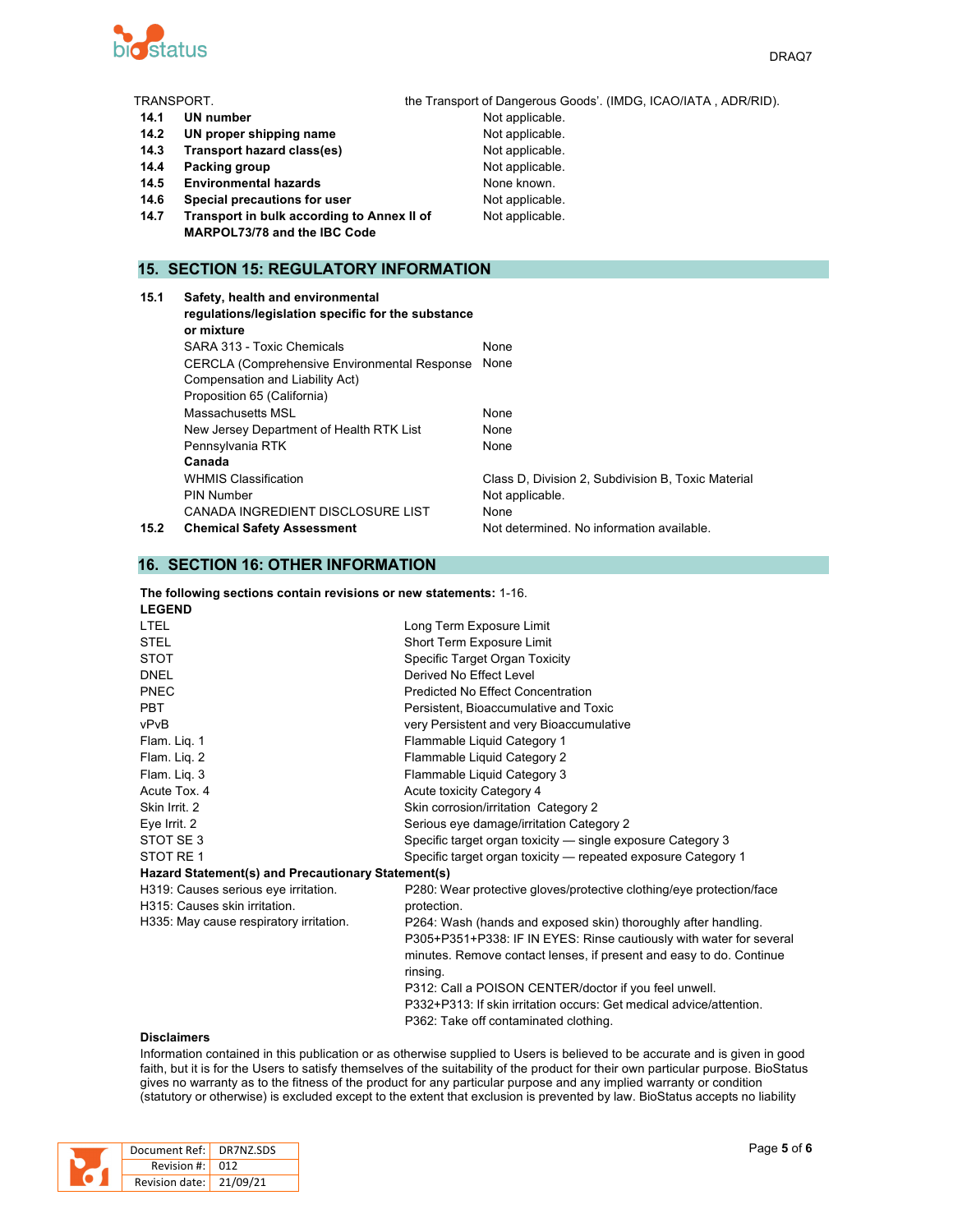

| TRANSPORT. |                                                                  | the Transport of Dangerous Goods'. (IMDG, ICAO/IATA, ADR/RID). |
|------------|------------------------------------------------------------------|----------------------------------------------------------------|
| 14.1       | UN number                                                        | Not applicable.                                                |
| 14.2       | UN proper shipping name                                          | Not applicable.                                                |
| 14.3       | Transport hazard class(es)                                       | Not applicable.                                                |
| 14.4       | Packing group                                                    | Not applicable.                                                |
| 14.5       | <b>Environmental hazards</b>                                     | None known.                                                    |
| 14.6       | Special precautions for user                                     | Not applicable.                                                |
| 14.7       | Transport in bulk according to Annex II of                       | Not applicable.                                                |
|            | MARPOL73/78 and the IBC Code                                     |                                                                |
|            |                                                                  |                                                                |
|            | <b>15. SECTION 15: REGULATORY INFORMATION</b>                    |                                                                |
| 15.1       | Safety, health and environmental                                 |                                                                |
|            |                                                                  |                                                                |
|            | regulations/legislation specific for the substance<br>or mixture |                                                                |
|            | SARA 313 - Toxic Chemicals                                       | None                                                           |
|            |                                                                  |                                                                |
|            | CERCLA (Comprehensive Environmental Response None                |                                                                |
|            | Compensation and Liability Act)                                  |                                                                |
|            | Proposition 65 (California)                                      |                                                                |

WHMIS Classification **Class D**, Division 2, Subdivision B, Toxic Material

**15.2 Chemical Safety Assessment** Not determined. No information available.

# **16. SECTION 16: OTHER INFORMATION**

**Canada**

#### **The following sections contain revisions or new statements:** 1-16. **LEGEND**

Massachusetts MSL None New Jersey Department of Health RTK List None Pennsylvania RTK None

PIN Number Not applicable. CANADA INGREDIENT DISCLOSURE LIST None

| LEGEND                                             |                                                                      |
|----------------------------------------------------|----------------------------------------------------------------------|
| <b>LTEL</b>                                        | Long Term Exposure Limit                                             |
| <b>STEL</b>                                        | Short Term Exposure Limit                                            |
| <b>STOT</b>                                        | Specific Target Organ Toxicity                                       |
| <b>DNEL</b>                                        | Derived No Effect Level                                              |
| PNEC                                               | Predicted No Effect Concentration                                    |
| <b>PBT</b>                                         | Persistent, Bioaccumulative and Toxic                                |
| vPvB                                               | very Persistent and very Bioaccumulative                             |
| Flam. Lig. 1                                       | Flammable Liquid Category 1                                          |
| Flam. Lig. 2                                       | Flammable Liquid Category 2                                          |
| Flam. Lig. 3                                       | Flammable Liquid Category 3                                          |
| Acute Tox, 4                                       | Acute toxicity Category 4                                            |
| Skin Irrit. 2                                      | Skin corrosion/irritation Category 2                                 |
| Eye Irrit. 2                                       | Serious eye damage/irritation Category 2                             |
| STOT SE3                                           | Specific target organ toxicity — single exposure Category 3          |
| STOT RE 1                                          | Specific target organ toxicity — repeated exposure Category 1        |
| Hazard Statement(s) and Precautionary Statement(s) |                                                                      |
| H319: Causes serious eye irritation.               | P280: Wear protective gloves/protective clothing/eye protection/face |
| H315: Causes skin irritation.                      | protection.                                                          |
| H335: May cause respiratory irritation.            | P264: Wash (hands and exposed skin) thoroughly after handling.       |
|                                                    | P305+P351+P338: IF IN EYES: Rinse cautiously with water for several  |
|                                                    | minutes. Remove contact lenses, if present and easy to do. Continue  |
|                                                    | rinsing.                                                             |
|                                                    | P312: Call a POISON CENTER/doctor if you feel unwell.                |
|                                                    | P332+P313: If skin irritation occurs: Get medical advice/attention.  |
|                                                    | P362: Take off contaminated clothing.                                |
|                                                    |                                                                      |

#### **Disclaimers**

Information contained in this publication or as otherwise supplied to Users is believed to be accurate and is given in good faith, but it is for the Users to satisfy themselves of the suitability of the product for their own particular purpose. BioStatus gives no warranty as to the fitness of the product for any particular purpose and any implied warranty or condition (statutory or otherwise) is excluded except to the extent that exclusion is prevented by law. BioStatus accepts no liability

| Document Ref: DR7NZ.SDS |  |
|-------------------------|--|
| Revision #: 012         |  |
| Revision date: 21/09/21 |  |